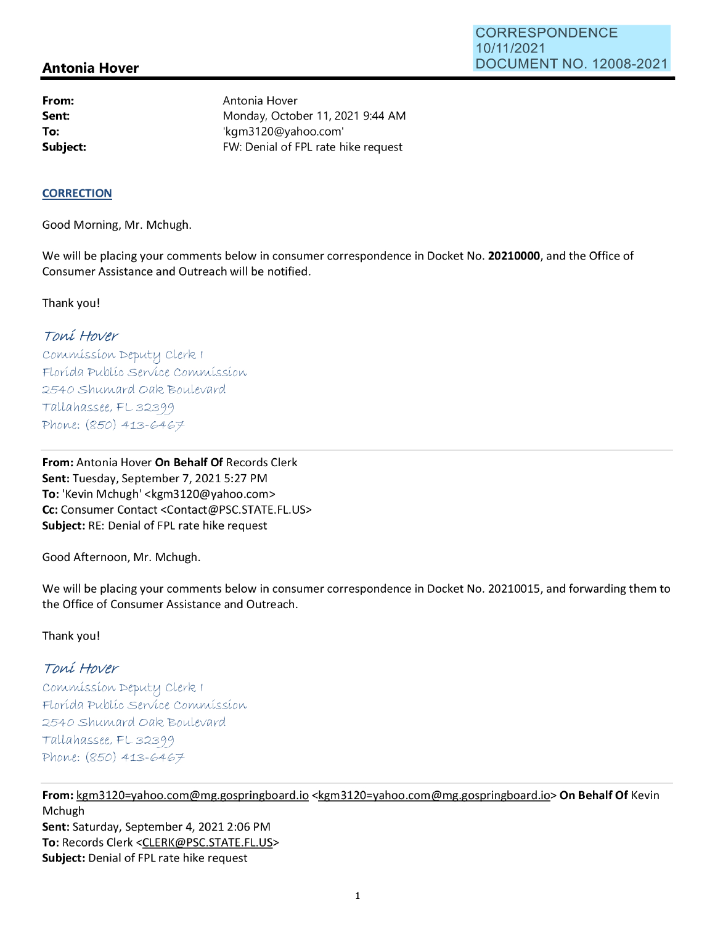## **Antonia Hover**

**From: Sent: To: Subject:**  Antonia Hover Monday, October 11, 2021 9:44 AM 'kgm3120@yahoo.com' FW: Denial of FPL rate hike request

#### **CORRECTION**

Good Morning, Mr. Mchugh.

We will be placing your comments below in consumer correspondence in Docket No. **20210000,** and the Office of Consumer Assistance and Outreach will be notified.

Thank you!

# Toni Hover

Commission Deputy Clerk I Florída Publíc Servíce Commission 2540 Shumard Oak Boulevard Tallahassee, FL32399 Phone:  $(850)$  413-6467

**From:** Antonia Hover **On Behalf Of** Records Clerk **Sent:** Tuesday, September 7, 20215:27 PM **To:** 'Kevin Mchugh' <kgm3120@yahoo.com> **Cc:** Consumer Contact <Contact@PSC.STATE.FL.US> **Subject:** RE: Denial of FPL rate hike request

Good Afternoon, Mr. Mchugh.

We will be placing your comments below in consumer correspondence in Docket No. 20210015, and forwarding them to the Office of Consumer Assistance and Outreach.

### Thank you!

### Toni Hover

Commission Deputy Clerk I Florída Publíc Servíce Commission 2540 Shumard Oak Boulevard Tallahassee, FL 32399 Phone:  $(850)$  413-6467

**From:** kgm3120=yahoo.com@mg.gospringboard.io <kgm3120=yahoo.com@mg.gospringboard.io> **On Behalf Of** Kevin Mchugh **Sent:** Saturday, September 4, 2021 2:06 PM **To:** Records Clerk <CLERK@PSC.STATE.FL.US> **Subject:** Denial of FPL rate hike request